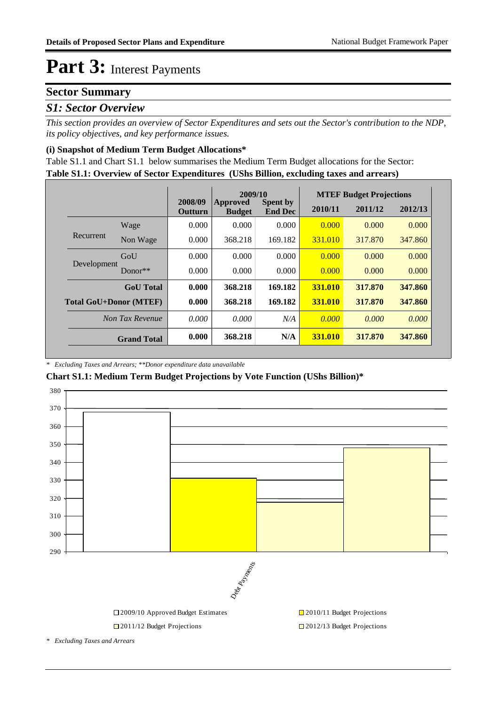# Part 3: Interest Payments

## **Sector Summary**

### *S1: Sector Overview*

*This section provides an overview of Sector Expenditures and sets out the Sector's contribution to the NDP, its policy objectives, and key performance issues.* 

#### **(i) Snapshot of Medium Term Budget Allocations\***

**Table S1.1: Overview of Sector Expenditures (UShs Billion, excluding taxes and arrears)** Table S1.1 and Chart S1.1 below summarises the Medium Term Budget allocations for the Sector:

|                               |                    |                    | 2009/10                   |                                   |                | <b>MTEF Budget Projections</b> |         |  |  |
|-------------------------------|--------------------|--------------------|---------------------------|-----------------------------------|----------------|--------------------------------|---------|--|--|
|                               |                    | 2008/09<br>Outturn | Approved<br><b>Budget</b> | <b>Spent by</b><br><b>End Dec</b> | 2010/11        | 2011/12                        | 2012/13 |  |  |
| Recurrent                     | Wage               | 0.000              | 0.000                     | 0.000                             | 0.000          | 0.000                          | 0.000   |  |  |
|                               | Non Wage           | 0.000              | 368.218                   | 169.182                           | 331,010        | 317,870                        | 347.860 |  |  |
| Development                   | GoU                | 0.000              | 0.000                     | 0.000                             | 0.000          | 0.000                          | 0.000   |  |  |
|                               | $Donor**$          | 0.000              | 0.000                     | 0.000                             | 0.000          | 0.000                          | 0.000   |  |  |
|                               | <b>GoU</b> Total   | 0.000              | 368.218                   | 169.182                           | 331.010        | 317.870                        | 347.860 |  |  |
| <b>Total GoU+Donor (MTEF)</b> |                    | 0.000              | 368.218                   | 169.182                           | 331.010        | 317.870                        | 347.860 |  |  |
| Non Tax Revenue               |                    | 0.000              | 0.000                     | N/A                               | 0.000          | 0.000                          | 0.000   |  |  |
|                               | <b>Grand Total</b> | 0.000              | 368.218                   | N/A                               | <b>331.010</b> | 317.870                        | 347.860 |  |  |

#### *\* Excluding Taxes and Arrears; \*\*Donor expenditure data unavailable*

### **Chart S1.1: Medium Term Budget Projections by Vote Function (UShs Billion)\***



□ 2011/12 Budget Projections □ 2012/13 Budget Projections

*\* Excluding Taxes and Arrears*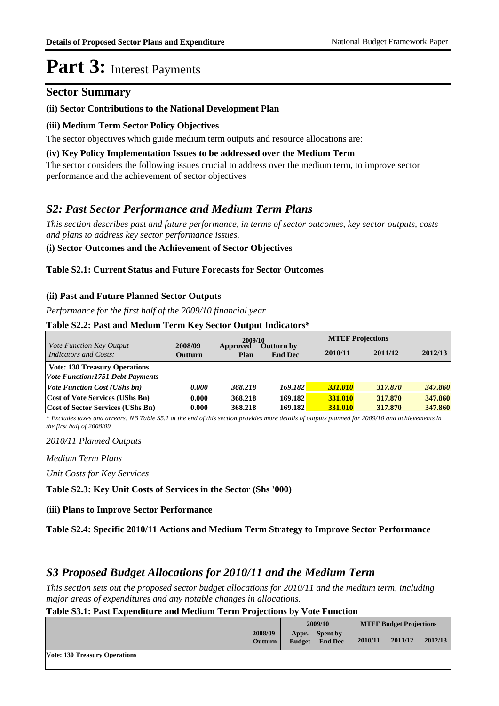## **Part 3:** Interest Payments

## **Sector Summary**

### **(ii) Sector Contributions to the National Development Plan**

### **(iii) Medium Term Sector Policy Objectives**

The sector objectives which guide medium term outputs and resource allocations are:

#### **(iv) Key Policy Implementation Issues to be addressed over the Medium Term**

The sector considers the following issues crucial to address over the medium term, to improve sector performance and the achievement of sector objectives

## *S2: Past Sector Performance and Medium Term Plans*

*This section describes past and future performance, in terms of sector outcomes, key sector outputs, costs and plans to address key sector performance issues.* 

### **(i) Sector Outcomes and the Achievement of Sector Objectives**

#### **Table S2.1: Current Status and Future Forecasts for Sector Outcomes**

### **(ii) Past and Future Planned Sector Outputs**

*Performance for the first half of the 2009/10 financial year*

#### **Table S2.2: Past and Medum Term Key Sector Output Indicators\***

|                                                          |                    | 2009/10          |                                     | <b>MTEF Projections</b> |         |         |
|----------------------------------------------------------|--------------------|------------------|-------------------------------------|-------------------------|---------|---------|
| <i>Vote Function Key Output</i><br>Indicators and Costs: | 2008/09<br>Outturn | Approved<br>Plan | <b>Outturn by</b><br><b>End Dec</b> | 2010/11                 | 2011/12 | 2012/13 |
| <b>Vote: 130 Treasury Operations</b>                     |                    |                  |                                     |                         |         |         |
| <b>Vote Function:1751 Debt Payments</b>                  |                    |                  |                                     |                         |         |         |
| <b>Vote Function Cost (UShs bn)</b>                      | 0.000              | 368.218          | <b>169.182</b>                      | 331.010                 | 317,870 | 347.860 |
| <b>Cost of Vote Services (UShs Bn)</b>                   | 0.000              | 368.218          | 169.182                             | 331.010                 | 317.870 | 347.860 |
| Cost of Sector Services (UShs Bn)                        | 0.000              | 368.218          | 169.182                             | 331.010                 | 317.870 | 347.860 |

*\* Excludes taxes and arrears; NB Table S5.1 at the end of this section provides more details of outputs planned for 2009/10 and achievements in the first half of 2008/09*

*2010/11 Planned Outputs*

*Medium Term Plans*

*Unit Costs for Key Services*

**Table S2.3: Key Unit Costs of Services in the Sector (Shs '000)**

#### **(iii) Plans to Improve Sector Performance**

**Table S2.4: Specific 2010/11 Actions and Medium Term Strategy to Improve Sector Performance** 

## *S3 Proposed Budget Allocations for 2010/11 and the Medium Term*

*This section sets out the proposed sector budget allocations for 2010/11 and the medium term, including major areas of expenditures and any notable changes in allocations.* 

### **Table S3.1: Past Expenditure and Medium Term Projections by Vote Function**

|                                      |                           | 2009/10                |                                   | <b>MTEF Budget Projections</b> |         |         |
|--------------------------------------|---------------------------|------------------------|-----------------------------------|--------------------------------|---------|---------|
|                                      | 2008/09<br><b>Outturn</b> | Appr.<br><b>Budget</b> | <b>Spent by</b><br><b>End Dec</b> | 2010/11                        | 2011/12 | 2012/13 |
| <b>Vote: 130 Treasury Operations</b> |                           |                        |                                   |                                |         |         |